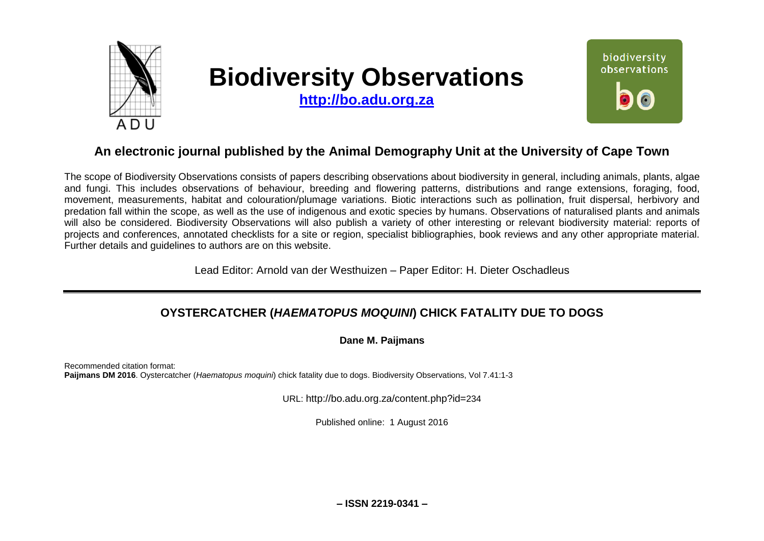

# **Biodiversity Observations**

**[http://bo.adu.org.za](http://bo.adu.org.za/)**



# **An electronic journal published by the Animal Demography Unit at the University of Cape Town**

The scope of Biodiversity Observations consists of papers describing observations about biodiversity in general, including animals, plants, algae and fungi. This includes observations of behaviour, breeding and flowering patterns, distributions and range extensions, foraging, food, movement, measurements, habitat and colouration/plumage variations. Biotic interactions such as pollination, fruit dispersal, herbivory and predation fall within the scope, as well as the use of indigenous and exotic species by humans. Observations of naturalised plants and animals will also be considered. Biodiversity Observations will also publish a variety of other interesting or relevant biodiversity material: reports of projects and conferences, annotated checklists for a site or region, specialist bibliographies, book reviews and any other appropriate material. Further details and guidelines to authors are on this website.

Lead Editor: Arnold van der Westhuizen – Paper Editor: H. Dieter Oschadleus

# **OYSTERCATCHER (***HAEMATOPUS MOQUINI***) CHICK FATALITY DUE TO DOGS**

### **Dane M. Paijmans**

Recommended citation format: **Paijmans DM 2016**. Oystercatcher (*Haematopus moquini*) chick fatality due to dogs. Biodiversity Observations, Vol 7.41:1-3

URL: http://bo.adu.org.za/content.php?id=234

Published online: 1 August 2016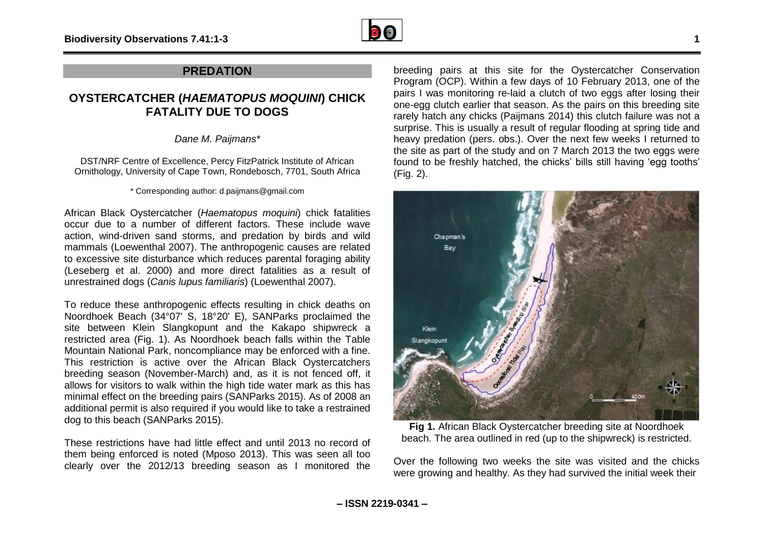

## **PREDATION**

## **OYSTERCATCHER (***HAEMATOPUS MOQUINI***) CHICK FATALITY DUE TO DOGS**

*Dane M. Paijmans\**

DST/NRF Centre of Excellence, Percy FitzPatrick Institute of African Ornithology, University of Cape Town, Rondebosch, 7701, South Africa

\* Corresponding author: d.paijmans@gmail.com

African Black Oystercatcher (*Haematopus moquini*) chick fatalities occur due to a number of different factors. These include wave action, wind-driven sand storms, and predation by birds and wild mammals (Loewenthal 2007). The anthropogenic causes are related to excessive site disturbance which reduces parental foraging ability (Leseberg et al. 2000) and more direct fatalities as a result of unrestrained dogs (*Canis lupus familiaris*) (Loewenthal 2007).

To reduce these anthropogenic effects resulting in chick deaths on Noordhoek Beach (34°07' S, 18°20' E), SANParks proclaimed the site between Klein Slangkopunt and the Kakapo shipwreck a restricted area (Fig. 1). As Noordhoek beach falls within the Table Mountain National Park, noncompliance may be enforced with a fine. This restriction is active over the African Black Oystercatchers breeding season (November-March) and, as it is not fenced off, it allows for visitors to walk within the high tide water mark as this has minimal effect on the breeding pairs (SANParks 2015). As of 2008 an additional permit is also required if you would like to take a restrained dog to this beach (SANParks 2015).

These restrictions have had little effect and until 2013 no record of them being enforced is noted (Mposo 2013). This was seen all too clearly over the 2012/13 breeding season as I monitored the

breeding pairs at this site for the Oystercatcher Conservation Program (OCP). Within a few days of 10 February 2013, one of the pairs I was monitoring re-laid a clutch of two eggs after losing their one-egg clutch earlier that season. As the pairs on this breeding site rarely hatch any chicks (Paijmans 2014) this clutch failure was not a surprise. This is usually a result of regular flooding at spring tide and heavy predation (pers. obs.). Over the next few weeks I returned to the site as part of the study and on 7 March 2013 the two eggs were found to be freshly hatched, the chicks' bills still having 'egg tooths' (Fig. 2).



**Fig 1.** African Black Oystercatcher breeding site at Noordhoek beach. The area outlined in red (up to the shipwreck) is restricted.

Over the following two weeks the site was visited and the chicks were growing and healthy. As they had survived the initial week their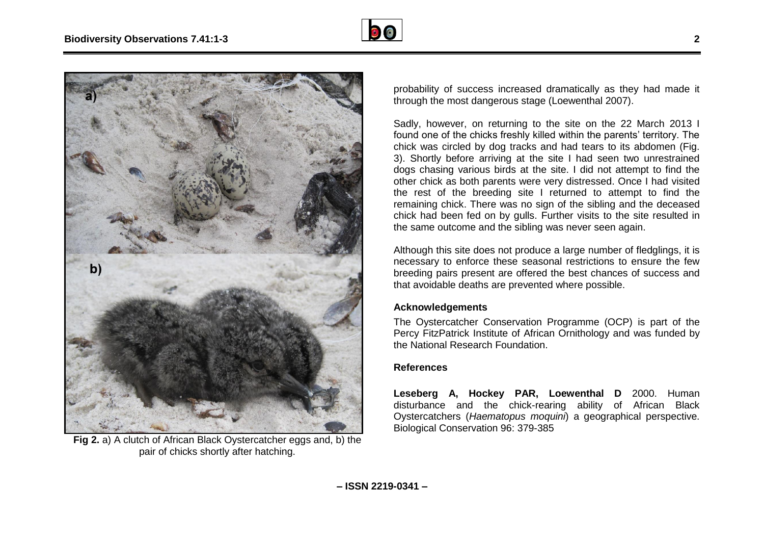



**Fig 2.** a) A clutch of African Black Oystercatcher eggs and, b) the pair of chicks shortly after hatching.

probability of success increased dramatically as they had made it through the most dangerous stage (Loewenthal 2007).

Sadly, however, on returning to the site on the 22 March 2013 I found one of the chicks freshly killed within the parents' territory. The chick was circled by dog tracks and had tears to its abdomen (Fig. 3). Shortly before arriving at the site I had seen two unrestrained dogs chasing various birds at the site. I did not attempt to find the other chick as both parents were very distressed. Once I had visited the rest of the breeding site I returned to attempt to find the remaining chick. There was no sign of the sibling and the deceased chick had been fed on by gulls. Further visits to the site resulted in the same outcome and the sibling was never seen again.

Although this site does not produce a large number of fledglings, it is necessary to enforce these seasonal restrictions to ensure the few breeding pairs present are offered the best chances of success and that avoidable deaths are prevented where possible.

#### **Acknowledgements**

The Oystercatcher Conservation Programme (OCP) is part of the Percy FitzPatrick Institute of African Ornithology and was funded by the National Research Foundation.

#### **References**

**Leseberg A, Hockey PAR, Loewenthal D** 2000. Human disturbance and the chick-rearing ability of African Black Oystercatchers (*Haematopus moquini*) a geographical perspective. Biological Conservation 96: 379-385